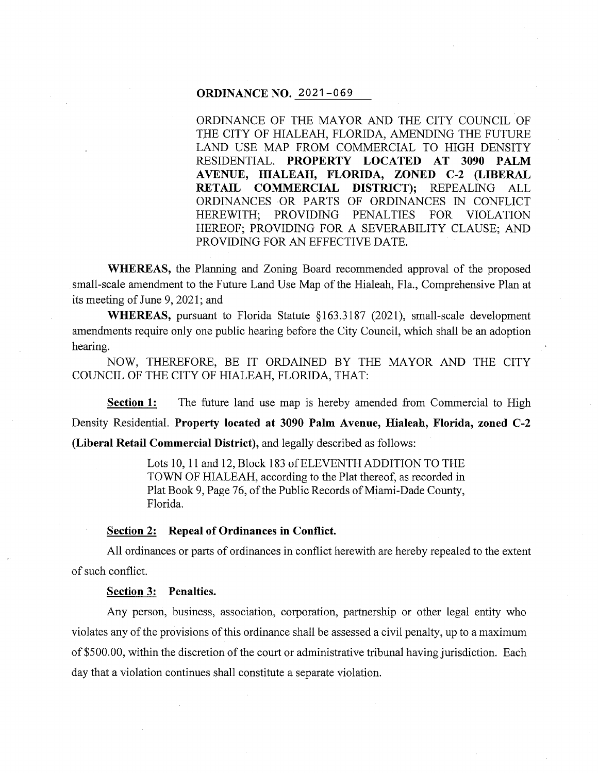## **ORDINANCE NO.** 2021-069

ORDINANCE OF THE MAYOR AND THE CITY COUNCIL OF THE CITY OF HIALEAH, FLORIDA, AMENDING THE FUTURE LAND USE MAP FROM COMMERCIAL TO HIGH DENSITY RESIDENTIAL. **PROPERTY LOCATED AT 3090 PALM A VENUE, HIALEAH, FLORIDA, ZONED C-2 (LIBERAL RETAIL COMMERCIAL DISTRICT);** REPEALING ALL ORDINANCES OR PARTS OF ORDINANCES IN CONFLICT HEREWITH; PROVIDING PENALTIES FOR VIOLATION HEREOF; PROVIDING FOR A SEVERABILITY CLAUSE; AND PROVIDING FOR AN EFFECTIVE DATE.

**WHEREAS,** the Planning and Zoning Board recommended approval of the proposed small-scale amendment to the Future Land Use Map of the Hialeah, Fla., Comprehensive Plan at its meeting of June 9, 2021; and

**WHEREAS,** pursuant to Florida Statute § 163 .3187 (2021 ), small-scale development amendments require only one public hearing before the City Council, which shall be an adoption hearing.

NOW, THEREFORE, BE IT ORDAINED BY THE MAYOR AND THE CITY COUNCIL OF THE CITY OF HIALEAH, FLORIDA, THAT:

**Section 1:** The future land use map is hereby amended from Commercial to High Density Residential. **Property located at 3090 Palm Avenue, Hialeah, Florida, zoned C-2** 

**(Liberal Retail Commercial District),** and legally described as follows:

Lots 10, 11 and 12, Block 183 of ELEVENTH ADDITION TO THE TOWN OF HIALEAH, according to the Plat thereof, as recorded in Plat Book 9, Page 76, of the Public Records of Miami-Dade County, Florida.

## **Section 2: Repeal of Ordinances in Conflict.**

All ordinances or parts of ordinances in conflict herewith are hereby repealed to the extent of such conflict.

**Section 3: Penalties.** 

Any person, business, association, corporation, partnership or other legal entity who violates any of the provisions of this ordinance shall be assessed a civil penalty, up to a maximum of \$500.00, within the discretion of the court or administrative tribunal having jurisdiction. Each day that a violation continues shall constitute a separate violation.